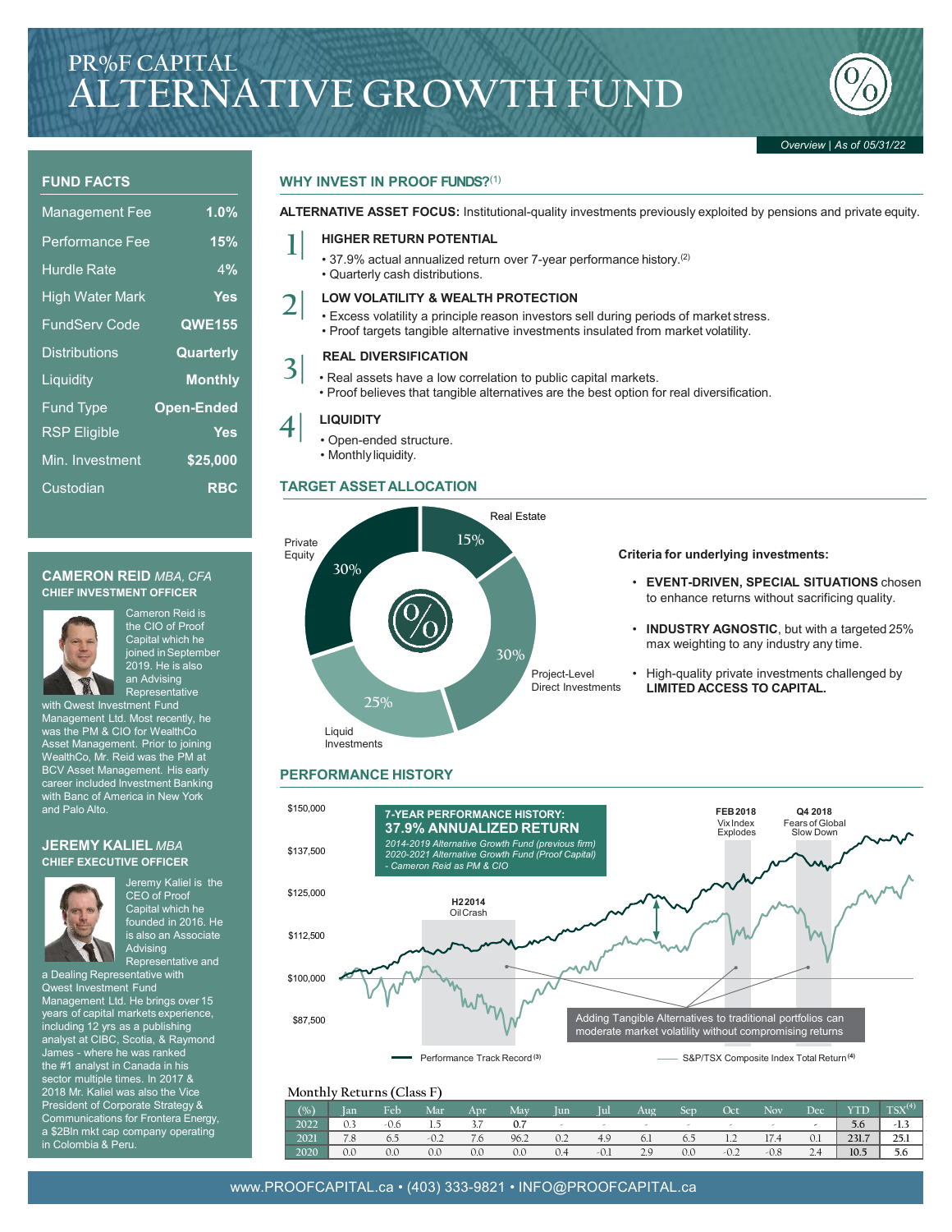# **PR%F CAPITAL ALTERNATIVE GROWTH FUND**



#### **FUND FACTS**

| <b>Management Fee</b>  | 1.0%              |
|------------------------|-------------------|
| <b>Performance Fee</b> | 15%               |
| <b>Hurdle Rate</b>     | 4%                |
| <b>High Water Mark</b> | Yes               |
| <b>FundServ Code</b>   | <b>QWE155</b>     |
| <b>Distributions</b>   | Quarterly         |
| Liquidity              | <b>Monthly</b>    |
| <b>Fund Type</b>       | <b>Open-Ended</b> |
| <b>RSP</b> Eligible    | Yes               |
| Min. Investment        | \$25,000          |
| Custodian              | <b>RBC</b>        |

#### **CAMERON REID** *MBA, CFA* **CHIEF INVESTMENT OFFICER**



Cameron Reid is the CIO of Proof Capital which he joined in September 2019. He is also an Advising Representative

with Qwest Investment Fund Management Ltd. Most recently, he was the PM & CIO for WealthCo Asset Management. Prior to joining WealthCo, Mr. Reid was the PM at BCV Asset Management. His early career included Investment Banking with Banc of America in New York and Palo Alto.

#### **JEREMY KALIEL** *MBA* **CHIEF EXECUTIVE OFFICER**



Jeremy Kaliel is the CEO of Proof Capital which he founded in 2016. He is also an Associate Advising Representative and

a Dealing Representative with Qwest Investment Fund Management Ltd. He brings over 15 years of capital markets experience, including 12 yrs as a publishing analyst at CIBC, Scotia, & Raymond James - where he was ranked the #1 analyst in Canada in his sector multiple times. In 2017 & 2018 Mr. Kaliel was also the Vice President of Corporate Strategy & Communications for Frontera Energy, a \$2Bln mkt cap company operating in Colombia & Peru.

#### **WHY INVEST IN PROOF FUNDS?**(1)

**ALTERNATIVE ASSET FOCUS:** Institutional-quality investments previously exploited by pensions and private equity.

## **1| HIGHER RETURN POTENTIAL**

- 37.9% actual annualized return over 7-year performance history.(2)
- Quarterly cash distributions.

- **2| LOW VOLATILITY & WEALTH PROTECTION** Excess volatility a principle reason investors sell during periods of market stress.
	- Proof targets tangible alternative investments insulated from market volatility.

### **REAL DIVERSIFICATION 3|**

- Real assets have a low correlation to public capital markets.
	- Proof believes that tangible alternatives are the best option for real diversification.

- **4| LIQUIDITY** Open-ended structure.
	- Monthly liquidity.

#### **TARGET ASSETALLOCATION**



#### **Criteria for underlying investments:**

- **EVENT-DRIVEN, SPECIAL SITUATIONS** chosen to enhance returns without sacrificing quality.
- **INDUSTRY AGNOSTIC**, but with a targeted 25% max weighting to any industry any time.
- High-quality private investments challenged by **LIMITED ACCESS TO CAPITAL.**

### **PERFORMANCE HISTORY**



#### **Monthly Returns (Class F)**

| (%)  | lan | Feb  | Mar    | Apr | Mav  | lun | Iul    | Aug    | Sen | Oct                    | Nov    | Dec | <b>YTD</b> | $TSX^{(4)}$ |
|------|-----|------|--------|-----|------|-----|--------|--------|-----|------------------------|--------|-----|------------|-------------|
| 2022 |     | -0.6 |        | 3.7 | 0.7  |     | $\sim$ | $\sim$ |     |                        |        |     | 5.6        | -1.>        |
| 2021 | 7.8 | 6.5  | $-0.2$ | 7.6 | 96.2 | 0.2 | 4.9    | 6.1    | 6.5 | 12<br>$\pm$ . $\angle$ | 17.4   | 0.1 | 231.7      | 25.1        |
| 2020 | 0.0 | 0.0  | 0.0    | 0.0 | 0.0  | 0.4 | $-0.1$ | 2.9    | 0.0 | $-0.2$                 | $-0.8$ | 2.4 | 10.5       | 5.6         |